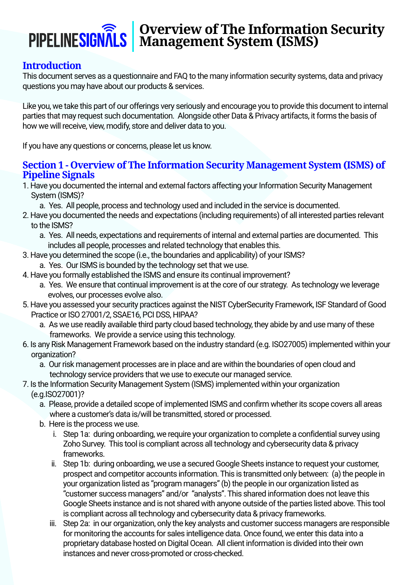# **Overview of The Information Security Management System (ISMS)**

#### **Introduction**

This document serves as a questionnaire and FAQ to the many information security systems, data and privacy questions you may have about our products & services.

Like you, we take this part of our offerings very seriously and encourage you to provide this document to internal parties that may request such documentation. Alongside other Data & Privacy artifacts, it forms the basis of how we will receive, view, modify, store and deliver data to you.

If you have any questions or concerns, please let us know.

#### **Section 1 - Overview of The Information Security Management System (ISMS) of Pipeline Signals**

- 1. Have you documented the internal and external factors affecting your Information Security Management System (ISMS)?
	- a. Yes. All people, process and technology used and included in the service is documented.
- 2. Have you documented the needs and expectations (including requirements) of all interested parties relevant to the ISMS?
	- a. Yes. All needs, expectations and requirements of internal and external parties are documented. This includes all people, processes and related technology that enables this.
- 3. Have you determined the scope (i.e., the boundaries and applicability) of your ISMS?
	- a. Yes. Our ISMS is bounded by the technology set that we use.
- 4. Have you formally established the ISMS and ensure its continual improvement?
	- a. Yes. We ensure that continual improvement is at the core of our strategy. As technology we leverage evolves, our processes evolve also.
- 5. Have you assessed your security practices against the NIST CyberSecurity Framework, ISF Standard of Good Practice or ISO 27001/2, SSAE16, PCI DSS, HIPAA?
	- a. As we use readily available third party cloud based technology, they abide by and use many of these frameworks. We provide a service using this technology.
- 6. Is any Risk Management Framework based on the industry standard (e.g. ISO27005) implemented within your organization?
	- a. Our risk management processes are in place and are within the boundaries of open cloud and technology service providers that we use to execute our managed service.
- 7. Is the Information Security Management System (ISMS) implemented within your organization (e.g.ISO27001)?
	- a. Please, provide a detailed scope of implemented ISMS and confirm whether its scope covers all areas where a customer's data is/will be transmitted, stored or processed.
	- b. Here is the process we use.
		- i. Step 1a: during onboarding, we require your organization to complete a confidential survey using Zoho Survey. This tool is compliant across all technology and cybersecurity data & privacy frameworks.
		- ii. Step 1b: during onboarding, we use a secured Google Sheets instance to request your customer, prospect and competitor accounts information. This is transmitted only between: (a) the people in your organization listed as "program managers" (b) the people in our organization listed as "customer success managers" and/or "analysts". This shared information does not leave this Google Sheets instance and is not shared with anyone outside of the parties listed above. This tool is compliant across all technology and cybersecurity data & privacy frameworks.
		- iii. Step 2a: in our organization, only the key analysts and customer success managers are responsible for monitoring the accounts for sales intelligence data. Once found, we enter this data into a proprietary database hosted on Digital Ocean. All client information is divided into their own instances and never cross-promoted or cross-checked.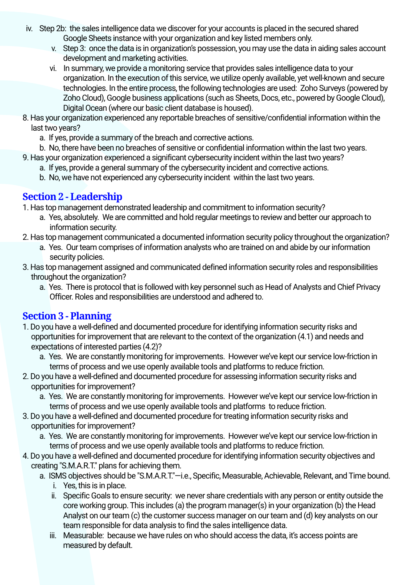- iv. Step 2b: the sales intelligence data we discover for your accounts is placed in the secured shared Google Sheets instance with your organization and key listed members only.
	- v. Step 3: once the data is in organization's possession, you may use the data in aiding sales account development and marketing activities.
	- vi. In summary, we provide a monitoring service that provides sales intelligence data to your organization. In the execution of this service, we utilize openly available, yet well-known and secure technologies. In the entire process, the following technologies are used: Zoho Surveys (powered by Zoho Cloud), Google business applications (such as Sheets, Docs, etc., powered by Google Cloud), Digital Ocean (where our basic client database is housed).
- 8. Has your organization experienced any reportable breaches of sensitive/confidential information within the last two years?
	- a. If yes, provide a summary of the breach and corrective actions.
	- b. No, there have been no breaches of sensitive or confidential information within the last two years.
- 9. Has your organization experienced a significant cybersecurity incident within the last two years?
	- a. If yes, provide a general summary of the cybersecurity incident and corrective actions.
	- b. No, we have not experienced any cybersecurity incident within the last two years.

#### **Section 2 - Leadership**

1. Has top management demonstrated leadership and commitment to information security?

- a. Yes, absolutely. We are committed and hold regular meetings to review and better our approach to information security.
- 2. Has top management communicated a documented information security policy throughout the organization?
	- a. Yes. Our team comprises of information analysts who are trained on and abide by our information security policies.
- 3. Has top management assigned and communicated defined information security roles and responsibilities throughout the organization?
	- a. Yes. There is protocol that is followed with key personnel such as Head of Analysts and Chief Privacy Officer. Roles and responsibilities are understood and adhered to.

## **Section 3 - Planning**

- 1. Do you have a well-defined and documented procedure for identifying information security risks and opportunities for improvement that are relevant to the context of the organization (4.1) and needs and expectations of interested parties (4.2)?
	- a. Yes. We are constantly monitoring for improvements. However we've kept our service low-friction in terms of process and we use openly available tools and platforms to reduce friction.
- 2. Do you have a well-defined and documented procedure for assessing information security risks and opportunities for improvement?
	- a. Yes. We are constantly monitoring for improvements. However we've kept our service low-friction in terms of process and we use openly available tools and platforms to reduce friction.
- 3. Do you have a well-defined and documented procedure for treating information security risks and opportunities for improvement?
	- a. Yes. We are constantly monitoring for improvements. However we've kept our service low-friction in terms of process and we use openly available tools and platforms to reduce friction.
- 4. Do you have a well-defined and documented procedure for identifying information security objectives and creating "S.M.A.R.T." plans for achieving them.
	- a. ISMS objectives should be "S.M.A.R.T."—i.e., Specific, Measurable, Achievable, Relevant, and Time bound. i. Yes, this is in place.
		- ii. Specific Goals to ensure security: we never share credentials with any person or entity outside the core working group. This includes (a) the program manager(s) in your organization (b) the Head Analyst on our team (c) the customer success manager on our team and (d) key analysts on our team responsible for data analysis to find the sales intelligence data.
		- iii. Measurable: because we have rules on who should access the data, it's access points are measured by default.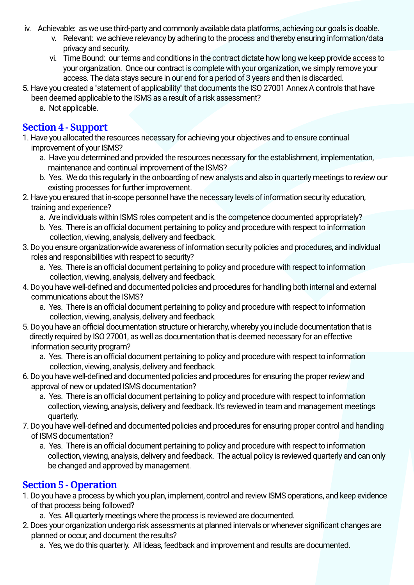- iv. Achievable: as we use third-party and commonly available data platforms, achieving our goals is doable.
	- v. Relevant: we achieve relevancy by adhering to the process and thereby ensuring information/data privacy and security.
	- vi. Time Bound: our terms and conditions in the contract dictate how long we keep provide access to your organization. Once our contract is complete with your organization, we simply remove your access. The data stays secure in our end for a period of 3 years and then is discarded.
- 5. Have you created a "statement of applicability" that documents the ISO 27001 Annex A controls that have been deemed applicable to the ISMS as a result of a risk assessment?
	- a. Not applicable.

## **Section 4 - Support**

- 1. Have you allocated the resources necessary for achieving your objectives and to ensure continual improvement of your ISMS?
	- a. Have you determined and provided the resources necessary for the establishment, implementation, maintenance and continual improvement of the ISMS?
	- b. Yes. We do this regularly in the onboarding of new analysts and also in quarterly meetings to review our existing processes for further improvement.
- 2. Have you ensured that in-scope personnel have the necessary levels of information security education, training and experience?
	- a. Are individuals within ISMS roles competent and is the competence documented appropriately?
	- b. Yes. There is an official document pertaining to policy and procedure with respect to information collection, viewing, analysis, delivery and feedback.
- 3. Do you ensure organization-wide awareness of information security policies and procedures, and individual roles and responsibilities with respect to security?
	- a. Yes. There is an official document pertaining to policy and procedure with respect to information collection, viewing, analysis, delivery and feedback.
- 4. Do you have well-defined and documented policies and procedures for handling both internal and external communications about the ISMS?
	- a. Yes. There is an official document pertaining to policy and procedure with respect to information collection, viewing, analysis, delivery and feedback.
- 5. Do you have an official documentation structure or hierarchy, whereby you include documentation that is directly required by ISO 27001, as well as documentation that is deemed necessary for an effective information security program?
	- a. Yes. There is an official document pertaining to policy and procedure with respect to information collection, viewing, analysis, delivery and feedback.
- 6. Do you have well-defined and documented policies and procedures for ensuring the proper review and approval of new or updated ISMS documentation?
	- a. Yes. There is an official document pertaining to policy and procedure with respect to information collection, viewing, analysis, delivery and feedback. It's reviewed in team and management meetings quarterly.
- 7. Do you have well-defined and documented policies and procedures for ensuring proper control and handling of ISMS documentation?
	- a. Yes. There is an official document pertaining to policy and procedure with respect to information collection, viewing, analysis, delivery and feedback. The actual policy is reviewed quarterly and can only be changed and approved by management.

#### **Section 5 - Operation**

- 1. Do you have a process by which you plan, implement, control and review ISMS operations, and keep evidence of that process being followed?
	- a. Yes. All quarterly meetings where the process is reviewed are documented.
- 2. Does your organization undergo risk assessments at planned intervals or whenever significant changes are planned or occur, and document the results?
	- a. Yes, we do this quarterly. All ideas, feedback and improvement and results are documented.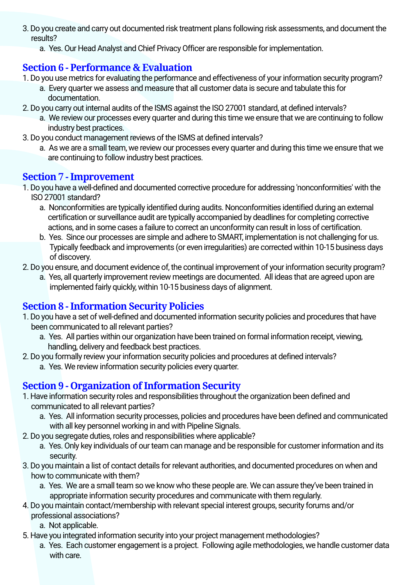- 3. Do you create and carry out documented risk treatment plans following risk assessments, and document the results?
	- a. Yes. Our Head Analyst and Chief Privacy Officer are responsible for implementation.

## **Section 6 - Performance & Evaluation**

- 1. Do you use metrics for evaluating the performance and effectiveness of your information security program?
	- a. Every quarter we assess and measure that all customer data is secure and tabulate this for documentation.
- 2. Do you carry out internal audits of the ISMS against the ISO 27001 standard, at defined intervals?
	- a. We review our processes every quarter and during this time we ensure that we are continuing to follow industry best practices.
- 3. Do you conduct management reviews of the ISMS at defined intervals?
	- a. As we are a small team, we review our processes every quarter and during this time we ensure that we are continuing to follow industry best practices.

## **Section 7 - Improvement**

- 1. Do you have a well-defined and documented corrective procedure for addressing 'nonconformities' with the ISO 27001 standard?
	- a. Nonconformities are typically identified during audits. Nonconformities identified during an external certification or surveillance audit are typically accompanied by deadlines for completing corrective actions, and in some cases a failure to correct an unconformity can result in loss of certification.
	- b. Yes. Since our processes are simple and adhere to SMART, implementation is not challenging for us. Typically feedback and improvements (or even irregularities) are corrected within 10-15 business days of discovery.
- 2. Do you ensure, and document evidence of, the continual improvement of your information security program?
- a. Yes, all quarterly improvement review meetings are documented. All ideas that are agreed upon are implemented fairly quickly, within 10-15 business days of alignment.

#### **Section 8 - Information Security Policies**

- 1. Do you have a set of well-defined and documented information security policies and procedures that have been communicated to all relevant parties?
	- a. Yes. All parties within our organization have been trained on formal information receipt, viewing, handling, delivery and feedback best practices.
- 2. Do you formally review your information security policies and procedures at defined intervals?
	- a. Yes. We review information security policies every quarter.

## **Section 9 - Organization of Information Security**

- 1. Have information security roles and responsibilities throughout the organization been defined and communicated to all relevant parties?
	- a. Yes. All information security processes, policies and procedures have been defined and communicated with all key personnel working in and with Pipeline Signals.
- 2. Do you segregate duties, roles and responsibilities where applicable?
	- a. Yes. Only key individuals of our team can manage and be responsible for customer information and its security.
- 3. Do you maintain a list of contact details for relevant authorities, and documented procedures on when and how to communicate with them?
	- a. Yes. We are a small team so we know who these people are. We can assure they've been trained in appropriate information security procedures and communicate with them regularly.
- 4. Do you maintain contact/membership with relevant special interest groups, security forums and/or professional associations?
	- a. Not applicable.
- 5. Have you integrated information security into your project management methodologies?
	- a. Yes. Each customer engagement is a project. Following agile methodologies, we handle customer data with care.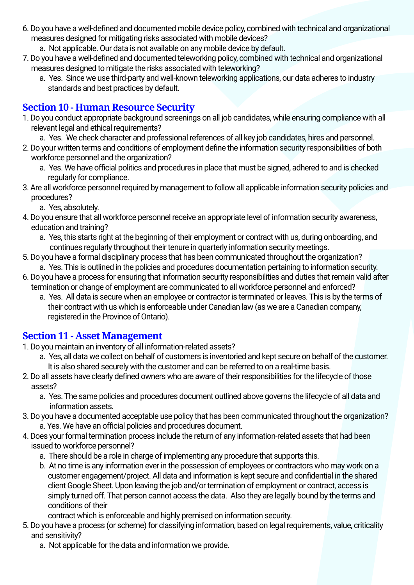- 6. Do you have a well-defined and documented mobile device policy, combined with technical and organizational measures designed for mitigating risks associated with mobile devices?
	- a. Not applicable. Our data is not available on any mobile device by default.
- 7. Do you have a well-defined and documented teleworking policy, combined with technical and organizational measures designed to mitigate the risks associated with teleworking?
	- a. Yes. Since we use third-party and well-known teleworking applications, our data adheres to industry standards and best practices by default.

#### **Section 10 - Human Resource Security**

- 1. Do you conduct appropriate background screenings on all job candidates, while ensuring compliance with all relevant legal and ethical requirements?
	- a. Yes. We check character and professional references of all key job candidates, hires and personnel.
- 2. Do your written terms and conditions of employment define the information security responsibilities of both workforce personnel and the organization?
	- a. Yes. We have official politics and procedures in place that must be signed, adhered to and is checked regularly for compliance.
- 3. Are all workforce personnel required by management to follow all applicable information security policies and procedures?
	- a. Yes, absolutely.
- 4. Do you ensure that all workforce personnel receive an appropriate level of information security awareness, education and training?
	- a. Yes, this starts right at the beginning of their employment or contract with us, during onboarding, and continues regularly throughout their tenure in quarterly information security meetings.
- 5. Do you have a formal disciplinary process that has been communicated throughout the organization? a. Yes. This is outlined in the policies and procedures documentation pertaining to information security.
- 6. Do you have a process for ensuring that information security responsibilities and duties that remain valid after termination or change of employment are communicated to all workforce personnel and enforced?
	- a. Yes. All data is secure when an employee or contractor is terminated or leaves. This is by the terms of their contract with us which is enforceable under Canadian law (as we are a Canadian company, registered in the Province of Ontario).

#### **Section 11 - Asset Management**

- 1. Do you maintain an inventory of all information-related assets?
	- a. Yes, all data we collect on behalf of customers is inventoried and kept secure on behalf of the customer. It is also shared securely with the customer and can be referred to on a real-time basis.
- 2. Do all assets have clearly defined owners who are aware of their responsibilities for the lifecycle of those assets?
	- a. Yes. The same policies and procedures document outlined above governs the lifecycle of all data and information assets.
- 3. Do you have a documented acceptable use policy that has been communicated throughout the organization? a. Yes. We have an official policies and procedures document.
- 4. Does your formal termination process include the return of any information-related assets that had been issued to workforce personnel?
	- a. There should be a role in charge of implementing any procedure that supports this.
	- b. At no time is any information ever in the possession of employees or contractors who may work on a customer engagement/project. All data and information is kept secure and confidential in the shared client Google Sheet. Upon leaving the job and/or termination of employment or contract, access is simply turned off. That person cannot access the data. Also they are legally bound by the terms and conditions of their
	- contract which is enforceable and highly premised on information security.
- 5. Do you have a process (or scheme) for classifying information, based on legal requirements, value, criticality and sensitivity?
	- a. Not applicable for the data and information we provide.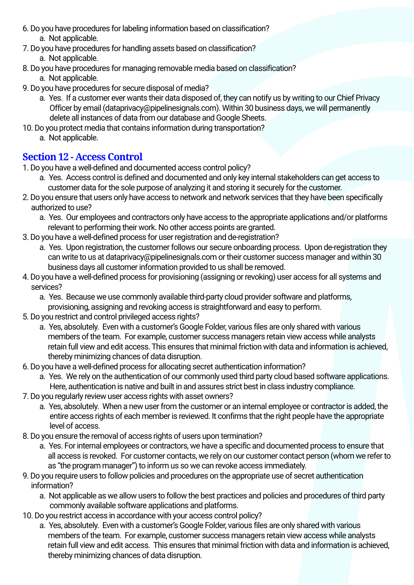- 6. Do you have procedures for labeling information based on classification? a. Not applicable.
- 7. Do you have procedures for handling assets based on classification? a. Not applicable.
- 8. Do you have procedures for managing removable media based on classification?
	- a. Not applicable.
- 9. Do you have procedures for secure disposal of media?
	- a. Yes. If a customer ever wants their data disposed of, they can notify us by writing to our Chief Privacy Officer by email (dataprivacy@pipelinesignals.com). Within 30 business days, we will permanently delete all instances of data from our database and Google Sheets.
- 10. Do you protect media that contains information during transportation?
	- a. Not applicable.

## **Section 12 - Access Control**

- 1. Do you have a well-defined and documented access control policy?
	- a. Yes. Access control is defined and documented and only key internal stakeholders can get access to customer data for the sole purpose of analyzing it and storing it securely for the customer.
- 2. Do you ensure that users only have access to network and network services that they have been specifically authorized to use?
	- a. Yes. Our employees and contractors only have access to the appropriate applications and/or platforms relevant to performing their work. No other access points are granted.
- 3. Do you have a well-defined process for user registration and de-registration?
	- a. Yes. Upon registration, the customer follows our secure onboarding process. Upon de-registration they can write to us at dataprivacy@pipelinesignals.com or their customer success manager and within 30 business days all customer information provided to us shall be removed.
- 4. Do you have a well-defined process for provisioning (assigning or revoking) user access for all systems and services?
	- a. Yes. Because we use commonly available third-party cloud provider software and platforms,
	- provisioning, assigning and revoking access is straightforward and easy to perform.
- 5. Do you restrict and control privileged access rights?
	- a. Yes, absolutely. Even with a customer's Google Folder, various files are only shared with various members of the team. For example, customer success managers retain view access while analysts retain full view and edit access. This ensures that minimal friction with data and information is achieved, thereby minimizing chances of data disruption.
- 6. Do you have a well-defined process for allocating secret authentication information?
	- a. Yes. We rely on the authentication of our commonly used third party cloud based software applications. Here, authentication is native and built in and assures strict best in class industry compliance.
- 7. Do you regularly review user access rights with asset owners?
	- a. Yes, absolutely. When a new user from the customer or an internal employee or contractor is added, the entire access rights of each member is reviewed. It confirms that the right people have the appropriate level of access.
- 8. Do you ensure the removal of access rights of users upon termination?
	- a. Yes. For internal employees or contractors, we have a specific and documented process to ensure that all access is revoked. For customer contacts, we rely on our customer contact person (whom we refer to as "the program manager") to inform us so we can revoke access immediately.
- 9. Do you require users to follow policies and procedures on the appropriate use of secret authentication information?
	- a. Not applicable as we allow users to follow the best practices and policies and procedures of third party commonly available software applications and platforms.
- 10. Do you restrict access in accordance with your access control policy?
	- a. Yes, absolutely. Even with a customer's Google Folder, various files are only shared with various members of the team. For example, customer success managers retain view access while analysts retain full view and edit access. This ensures that minimal friction with data and information is achieved, thereby minimizing chances of data disruption.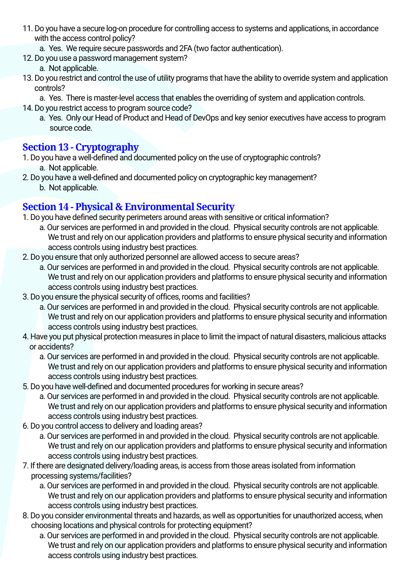- 11. Do you have a secure log-on procedure for controlling access to systems and applications, in accordance with the access control policy?
	- a. Yes. We require secure passwords and 2FA (two factor authentication).
- 12. Do you use a password management system?
	- a. Not applicable.
- 13. Do you restrict and control the use of utility programs that have the ability to override system and application controls?
	- a. Yes. There is master-level access that enables the overriding of system and application controls.
- 14. Do you restrict access to program source code?
	- a. Yes. Only our Head of Product and Head of DevOps and key senior executives have access to program source code.

#### **Section 13 - Cryptography**

- 1. Do you have a well-defined and documented policy on the use of cryptographic controls? a. Not applicable.
- 2. Do you have a well-defined and documented policy on cryptographic key management?
	- b. Not applicable.

#### **Section 14 - Physical & Environmental Security**

- 1. Do you have defined security perimeters around areas with sensitive or critical information?
	- a. Our services are performed in and provided in the cloud. Physical security controls are not applicable. We trust and rely on our application providers and platforms to ensure physical security and information access controls using industry best practices.
- 2. Do you ensure that only authorized personnel are allowed access to secure areas?
	- a. Our services are performed in and provided in the cloud. Physical security controls are not applicable. We trust and rely on our application providers and platforms to ensure physical security and information access controls using industry best practices.
- 3. Do you ensure the physical security of offices, rooms and facilities?
	- a. Our services are performed in and provided in the cloud. Physical security controls are not applicable. We trust and rely on our application providers and platforms to ensure physical security and information access controls using industry best practices.
- 4. Have you put physical protection measures in place to limit the impact of natural disasters, malicious attacks or accidents?
	- a. Our services are performed in and provided in the cloud. Physical security controls are not applicable. We trust and rely on our application providers and platforms to ensure physical security and information access controls using industry best practices.
- 5. Do you have well-defined and documented procedures for working in secure areas?
	- a. Our services are performed in and provided in the cloud. Physical security controls are not applicable. We trust and rely on our application providers and platforms to ensure physical security and information access controls using industry best practices.
- 6. Do you control access to delivery and loading areas?
	- a. Our services are performed in and provided in the cloud. Physical security controls are not applicable. We trust and rely on our application providers and platforms to ensure physical security and information access controls using industry best practices.
- 7. If there are designated delivery/loading areas, is access from those areas isolated from information processing systems/facilities?
	- a. Our services are performed in and provided in the cloud. Physical security controls are not applicable. We trust and rely on our application providers and platforms to ensure physical security and information access controls using industry best practices.
- 8. Do you consider environmental threats and hazards, as well as opportunities for unauthorized access, when choosing locations and physical controls for protecting equipment?
	- a. Our services are performed in and provided in the cloud. Physical security controls are not applicable. We trust and rely on our application providers and platforms to ensure physical security and information access controls using industry best practices.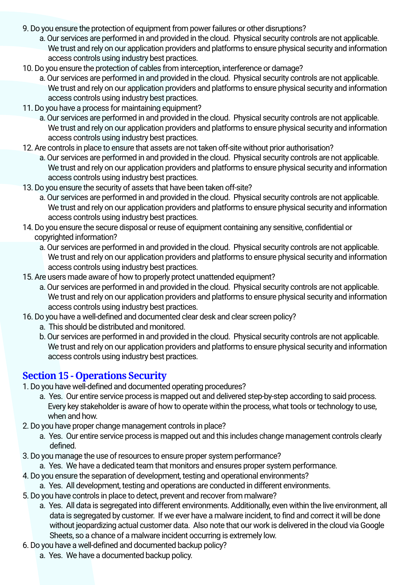- 9. Do you ensure the protection of equipment from power failures or other disruptions?
	- a. Our services are performed in and provided in the cloud. Physical security controls are not applicable. We trust and rely on our application providers and platforms to ensure physical security and information access controls using industry best practices.
- 10. Do you ensure the protection of cables from interception, interference or damage?
	- a. Our services are performed in and provided in the cloud. Physical security controls are not applicable. We trust and rely on our application providers and platforms to ensure physical security and information access controls using industry best practices.
- 11. Do you have a process for maintaining equipment?
	- a. Our services are performed in and provided in the cloud. Physical security controls are not applicable. We trust and rely on our application providers and platforms to ensure physical security and information access controls using industry best practices.
- 12. Are controls in place to ensure that assets are not taken off-site without prior authorisation?
	- a. Our services are performed in and provided in the cloud. Physical security controls are not applicable. We trust and rely on our application providers and platforms to ensure physical security and information access controls using industry best practices.
- 13. Do you ensure the security of assets that have been taken off-site?
	- a. Our services are performed in and provided in the cloud. Physical security controls are not applicable. We trust and rely on our application providers and platforms to ensure physical security and information access controls using industry best practices.
- 14. Do you ensure the secure disposal or reuse of equipment containing any sensitive, confidential or copyrighted information?
	- a. Our services are performed in and provided in the cloud. Physical security controls are not applicable. We trust and rely on our application providers and platforms to ensure physical security and information access controls using industry best practices.
- 15. Are users made aware of how to properly protect unattended equipment?
	- a. Our services are performed in and provided in the cloud. Physical security controls are not applicable. We trust and rely on our application providers and platforms to ensure physical security and information access controls using industry best practices.
- 16. Do you have a well-defined and documented clear desk and clear screen policy?
	- a. This should be distributed and monitored.
	- b. Our services are performed in and provided in the cloud. Physical security controls are not applicable. We trust and rely on our application providers and platforms to ensure physical security and information access controls using industry best practices.

#### **Section 15 - Operations Security**

- 1. Do you have well-defined and documented operating procedures?
	- a. Yes. Our entire service process is mapped out and delivered step-by-step according to said process. Every key stakeholder is aware of how to operate within the process, what tools or technology to use, when and how.
- 2. Do you have proper change management controls in place?
	- a. Yes. Our entire service process is mapped out and this includes change management controls clearly defined.
- 3. Do you manage the use of resources to ensure proper system performance?
	- a. Yes. We have a dedicated team that monitors and ensures proper system performance.
- 4. Do you ensure the separation of development, testing and operational environments?
	- a. Yes. All development, testing and operations are conducted in different environments.
- 5. Do you have controls in place to detect, prevent and recover from malware?
	- a. Yes. All data is segregated into different environments. Additionally, even within the live environment, all data is segregated by customer. If we ever have a malware incident, to find and correct it will be done without jeopardizing actual customer data. Also note that our work is delivered in the cloud via Google Sheets, so a chance of a malware incident occurring is extremely low.
- 6. Do you have a well-defined and documented backup policy?
	- a. Yes. We have a documented backup policy.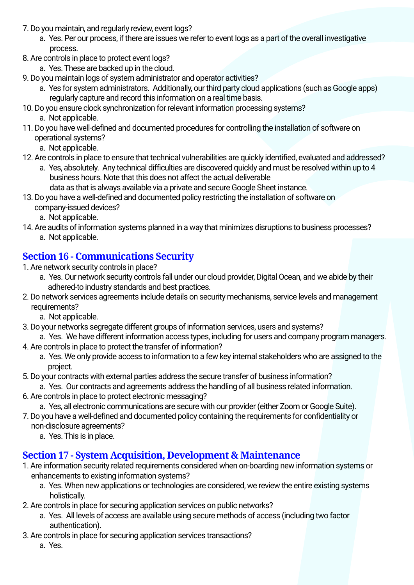- 7. Do you maintain, and regularly review, event logs?
	- a. Yes. Per our process, if there are issues we refer to event logs as a part of the overall investigative process.
- 8. Are controls in place to protect event logs?
	- a. Yes. These are backed up in the cloud.
- 9. Do you maintain logs of system administrator and operator activities?
	- a. Yes for system administrators. Additionally, our third party cloud applications (such as Google apps) regularly capture and record this information on a real time basis.
- 10. Do you ensure clock synchronization for relevant information processing systems? a. Not applicable.
- 11. Do you have well-defined and documented procedures for controlling the installation of software on operational systems?
	- a. Not applicable.
- 12. Are controls in place to ensure that technical vulnerabilities are quickly identified, evaluated and addressed?
	- a. Yes, absolutely. Any technical difficulties are discovered quickly and must be resolved within up to 4 business hours. Note that this does not affect the actual deliverable data as that is always available via a private and secure Google Sheet instance.
- 13. Do you have a well-defined and documented policy restricting the installation of software on
	- company-issued devices?
		- a. Not applicable.
- 14. Are audits of information systems planned in a way that minimizes disruptions to business processes? a. Not applicable.

## **Section 16 - Communications Security**

- 1. Are network security controls in place?
	- a. Yes. Our network security controls fall under our cloud provider, Digital Ocean, and we abide by their adhered-to industry standards and best practices.
- 2. Do network services agreements include details on security mechanisms, service levels and management requirements?
	- a. Not applicable.
- 3. Do your networks segregate different groups of information services, users and systems?
- a. Yes. We have different information access types, including for users and company program managers. 4. Are controls in place to protect the transfer of information?
	- a. Yes. We only provide access to information to a few key internal stakeholders who are assigned to the project.
- 5. Do your contracts with external parties address the secure transfer of business information?
- a. Yes. Our contracts and agreements address the handling of all business related information. 6. Are controls in place to protect electronic messaging?
- - a. Yes, all electronic communications are secure with our provider (either Zoom or Google Suite).
- 7. Do you have a well-defined and documented policy containing the requirements for confidentiality or non-disclosure agreements?
	- a. Yes. This is in place.

## **Section 17 - System Acquisition, Development & Maintenance**

- 1. Are information security related requirements considered when on-boarding new information systems or enhancements to existing information systems?
	- a. Yes. When new applications or technologies are considered, we review the entire existing systems holistically.
- 2. Are controls in place for securing application services on public networks?
	- a. Yes. All levels of access are available using secure methods of access (including two factor authentication).
- 3. Are controls in place for securing application services transactions?
	- a. Yes.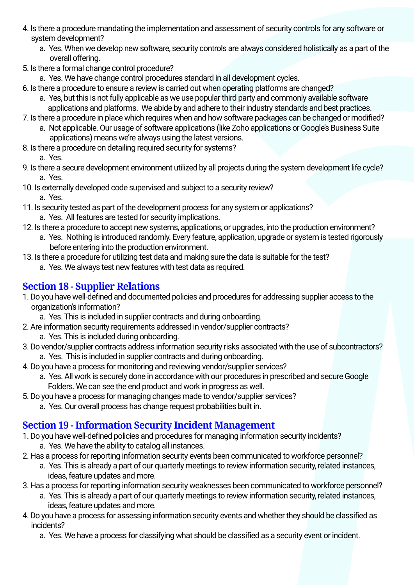- 4. Is there a procedure mandating the implementation and assessment of security controls for any software or system development?
	- a. Yes. When we develop new software, security controls are always considered holistically as a part of the overall offering.
- 5. Is there a formal change control procedure?
	- a. Yes. We have change control procedures standard in all development cycles.
- 6. Is there a procedure to ensure a review is carried out when operating platforms are changed?
	- a. Yes, but this is not fully applicable as we use popular third party and commonly available software applications and platforms. We abide by and adhere to their industry standards and best practices.
- 7. Is there a procedure in place which requires when and how software packages can be changed or modified?
	- a. Not applicable. Our usage of software applications (like Zoho applications or Google's Business Suite applications) means we're always using the latest versions.
- 8. Is there a procedure on detailing required security for systems? a. Yes.
- 9. Is there a secure development environment utilized by all projects during the system development life cycle? a. Yes.
- 10. Is externally developed code supervised and subject to a security review? a. Yes.
- 11. Is security tested as part of the development process for any system or applications? a. Yes. All features are tested for security implications.
- 12. Is there a procedure to accept new systems, applications, or upgrades, into the production environment?
	- a. Yes. Nothing is introduced randomly. Every feature, application, upgrade or system is tested rigorously before entering into the production environment.
- 13. Is there a procedure for utilizing test data and making sure the data is suitable for the test?
	- a. Yes. We always test new features with test data as required.

## **Section 18 - Supplier Relations**

- 1. Do you have well-defined and documented policies and procedures for addressing supplier access to the organization's information?
	- a. Yes. This is included in supplier contracts and during onboarding.
- 2. Are information security requirements addressed in vendor/supplier contracts?
- a. Yes. This is included during onboarding.
- 3. Do vendor/supplier contracts address information security risks associated with the use of subcontractors? a. Yes. This is included in supplier contracts and during onboarding.
- 4. Do you have a process for monitoring and reviewing vendor/supplier services?
	- a. Yes. All work is securely done in accordance with our procedures in prescribed and secure Google Folders. We can see the end product and work in progress as well.
- 5. Do you have a process for managing changes made to vendor/supplier services?
	- a. Yes. Our overall process has change request probabilities built in.

## **Section 19 - Information Security Incident Management**

- 1. Do you have well-defined policies and procedures for managing information security incidents? a. Yes. We have the ability to catalog all instances.
- 2. Has a process for reporting information security events been communicated to workforce personnel?
	- a. Yes. This is already a part of our quarterly meetings to review information security, related instances, ideas, feature updates and more.
- 3. Has a process for reporting information security weaknesses been communicated to workforce personnel?
	- a. Yes. This is already a part of our quarterly meetings to review information security, related instances, ideas, feature updates and more.
- 4. Do you have a process for assessing information security events and whether they should be classified as incidents?
	- a. Yes. We have a process for classifying what should be classified as a security event or incident.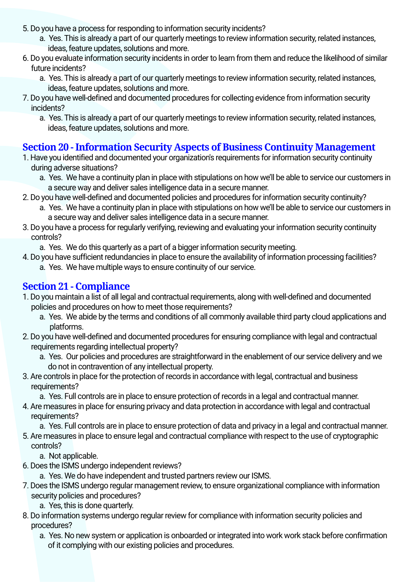- 5. Do you have a process for responding to information security incidents?
	- a. Yes. This is already a part of our quarterly meetings to review information security, related instances, ideas, feature updates, solutions and more.
- 6. Do you evaluate information security incidents in order to learn from them and reduce the likelihood of similar future incidents?
	- a. Yes. This is already a part of our quarterly meetings to review information security, related instances, ideas, feature updates, solutions and more.
- 7. Do you have well-defined and documented procedures for collecting evidence from information security incidents?
	- a. Yes. This is already a part of our quarterly meetings to review information security, related instances, ideas, feature updates, solutions and more.

## **Section 20 - Information Security Aspects of Business Continuity Management**

- 1. Have you identified and documented your organization's requirements for information security continuity during adverse situations?
	- a. Yes. We have a continuity plan in place with stipulations on how we'll be able to service our customers in a secure way and deliver sales intelligence data in a secure manner.
- 2. Do you have well-defined and documented policies and procedures for information security continuity?
	- a. Yes. We have a continuity plan in place with stipulations on how we'll be able to service our customers in a secure way and deliver sales intelligence data in a secure manner.
- 3. Do you have a process for regularly verifying, reviewing and evaluating your information security continuity controls?
	- a. Yes. We do this quarterly as a part of a bigger information security meeting.
- 4. Do you have sufficient redundancies in place to ensure the availability of information processing facilities? a. Yes. We have multiple ways to ensure continuity of our service.

## **Section 21 - Compliance**

- 1. Do you maintain a list of all legal and contractual requirements, along with well-defined and documented policies and procedures on how to meet those requirements?
	- a. Yes. We abide by the terms and conditions of all commonly available third party cloud applications and platforms.
- 2. Do you have well-defined and documented procedures for ensuring compliance with legal and contractual requirements regarding intellectual property?
	- a. Yes. Our policies and procedures are straightforward in the enablement of our service delivery and we do not in contravention of any intellectual property.
- 3. Are controls in place for the protection of records in accordance with legal, contractual and business requirements?
	- a. Yes. Full controls are in place to ensure protection of records in a legal and contractual manner.
- 4. Are measures in place for ensuring privacy and data protection in accordance with legal and contractual requirements?

a. Yes. Full controls are in place to ensure protection of data and privacy in a legal and contractual manner.

5. Are measures in place to ensure legal and contractual compliance with respect to the use of cryptographic controls?

a. Not applicable.

- 6. Does the ISMS undergo independent reviews?
	- a. Yes. We do have independent and trusted partners review our ISMS.
- 7. Does the ISMS undergo regular management review, to ensure organizational compliance with information security policies and procedures?
	- a. Yes, this is done quarterly.
- 8. Do information systems undergo regular review for compliance with information security policies and procedures?
	- a. Yes. No new system or application is onboarded or integrated into work work stack before confirmation of it complying with our existing policies and procedures.